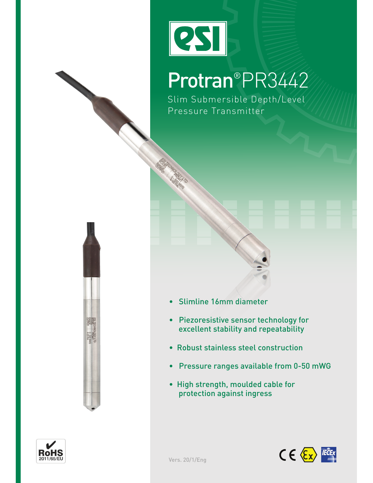# **PSI**

## Protran®PR3442

Slim Submersible Depth/Level Pressure Transmitter





- Piezoresistive sensor technology for excellent stability and repeatability
- Robust stainless steel construction
- Pressure ranges available from 0-50 mWG
- High strength, moulded cable for protection against ingress



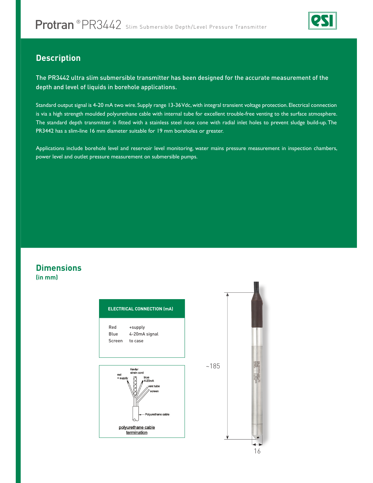

#### **Description**

The PR3442 ultra slim submersible transmitter has been designed for the accurate measurement of the depth and level of liquids in borehole applications.

Standard output signal is 4-20 mA two wire. Supply range 13-36 Vdc, with integral transient voltage protection. Electrical connection is via a high strength moulded polyurethane cable with internal tube for excellent trouble-free venting to the surface atmosphere. The standard depth transmitter is ftted with a stainless steel nose cone with radial inlet holes to prevent sludge build-up. The PR3442 has a slim-line 16 mm diameter suitable for 19 mm boreholes or greater.

Applications include borehole level and reservoir level monitoring, water mains pressure measurement in inspection chambers, power level and outlet pressure measurement on submersible pumps.

#### **Dimensions (in mm)**

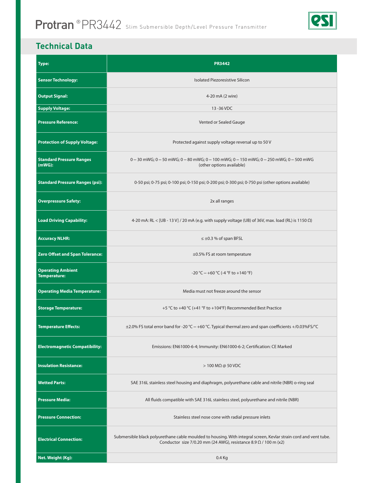

#### **Technical Data**

| <b>Type:</b>                                    | <b>PR3442</b>                                                                                                                                                                               |  |  |  |  |  |
|-------------------------------------------------|---------------------------------------------------------------------------------------------------------------------------------------------------------------------------------------------|--|--|--|--|--|
| <b>Sensor Technology:</b>                       | Isolated Piezoresistive Silicon                                                                                                                                                             |  |  |  |  |  |
| <b>Output Signal:</b>                           | 4-20 mA (2 wire)                                                                                                                                                                            |  |  |  |  |  |
| <b>Supply Voltage:</b>                          | 13-36 VDC                                                                                                                                                                                   |  |  |  |  |  |
| <b>Pressure Reference:</b>                      | Vented or Sealed Gauge                                                                                                                                                                      |  |  |  |  |  |
| <b>Protection of Supply Voltage:</b>            | Protected against supply voltage reversal up to 50 V                                                                                                                                        |  |  |  |  |  |
| <b>Standard Pressure Ranges</b><br>(mWG):       | $0-30$ mWG; $0-50$ mWG; $0-80$ mWG; $0-100$ mWG; $0-150$ mWG; $0-250$ mWG; $0-500$ mWG<br>(other options available)                                                                         |  |  |  |  |  |
| <b>Standard Pressure Ranges (psi):</b>          | 0-50 psi; 0-75 psi; 0-100 psi; 0-150 psi; 0-200 psi; 0-300 psi; 0-750 psi (other options available)                                                                                         |  |  |  |  |  |
| <b>Overpressure Safety:</b>                     | 2x all ranges                                                                                                                                                                               |  |  |  |  |  |
| <b>Load Driving Capability:</b>                 | 4-20 mA: RL < [UB - 13 V] / 20 mA (e.g. with supply voltage (UB) of 36V, max. load (RL) is 1150 $\Omega$ )                                                                                  |  |  |  |  |  |
| <b>Accuracy NLHR:</b>                           | $\leq \pm 0.3$ % of span BFSL                                                                                                                                                               |  |  |  |  |  |
| <b>Zero Offset and Span Tolerance:</b>          | ±0.5% FS at room temperature                                                                                                                                                                |  |  |  |  |  |
| <b>Operating Ambient</b><br><b>Temperature:</b> | $-20$ °C $- +60$ °C (-4 °F to $+140$ °F)                                                                                                                                                    |  |  |  |  |  |
| <b>Operating Media Temperature:</b>             | Media must not freeze around the sensor                                                                                                                                                     |  |  |  |  |  |
| <b>Storage Temperature:</b>                     | +5 °C to +40 °C (+41 °F to +104°F) Recommended Best Practice                                                                                                                                |  |  |  |  |  |
| <b>Temperature Effects:</b>                     | ±2.0% FS total error band for -20 °C - +60 °C. Typical thermal zero and span coefficients +/0.03%FS/°C                                                                                      |  |  |  |  |  |
| <b>Electromagnetic Compatibility:</b>           | Emissions: EN61000-6-4; Immunity: EN61000-6-2; Certification: CE Marked                                                                                                                     |  |  |  |  |  |
| <b>Insulation Resistance:</b>                   | $>$ 100 M $\Omega$ @ 50 VDC                                                                                                                                                                 |  |  |  |  |  |
| <b>Wetted Parts:</b>                            | SAE 316L stainless steel housing and diaphragm, polyurethane cable and nitrile (NBR) o-ring seal                                                                                            |  |  |  |  |  |
| <b>Pressure Media:</b>                          | All fluids compatible with SAE 316L stainless steel, polyurethane and nitrile (NBR)                                                                                                         |  |  |  |  |  |
| <b>Pressure Connection:</b>                     | Stainless steel nose cone with radial pressure inlets                                                                                                                                       |  |  |  |  |  |
| <b>Electrical Connection:</b>                   | Submersible black polyurethane cable moulded to housing. With integral screen, Kevlar strain cord and vent tube.<br>Conductor size 7/0.20 mm (24 AWG), resistance 8.9 $\Omega$ / 100 m (x2) |  |  |  |  |  |
| Net. Weight (Kg):                               | $0.4$ Kg                                                                                                                                                                                    |  |  |  |  |  |